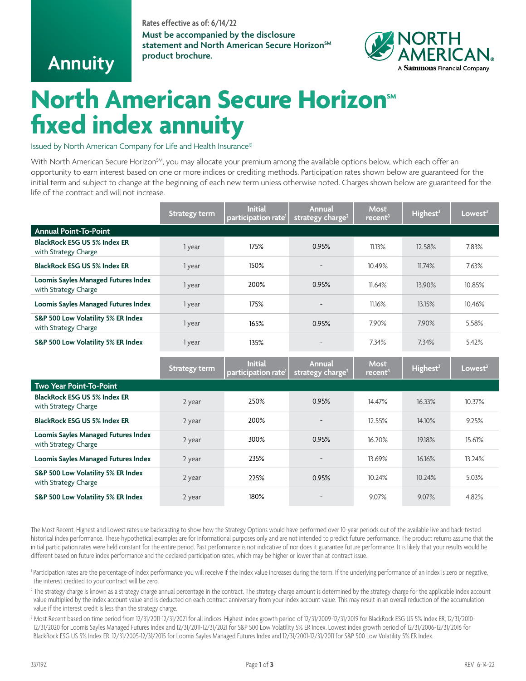### **Rates effective as of: 6/14/22**

**Must be accompanied by the disclosure** statement and North American Secure Horizon<sup>SM</sup> **product brochure.**

## **Annuity**



# **North American Secure Horizon<sup>®</sup> fixed index annuity**

Issued by North American Company for Life and Health Insurance®

With North American Secure Horizon<sup>SM</sup>, you may allocate your premium among the available options below, which each offer an opportunity to earn interest based on one or more indices or crediting methods. Participation rates shown below are guaranteed for the initial term and subject to change at the beginning of each new term unless otherwise noted. Charges shown below are guaranteed for the life of the contract and will not increase.

|                                                             | <b>Strategy term</b> | <b>Initial</b><br>participation rate <sup>1</sup> | Annual<br>strategy charge <sup>2</sup>        | <b>Most</b><br>recent <sup>3</sup> | Highest <sup>3</sup> | Lowest <sup>3</sup> |
|-------------------------------------------------------------|----------------------|---------------------------------------------------|-----------------------------------------------|------------------------------------|----------------------|---------------------|
| <b>Annual Point-To-Point</b>                                |                      |                                                   |                                               |                                    |                      |                     |
| <b>BlackRock ESG US 5% Index ER</b><br>with Strategy Charge | 1 year               | 175%                                              | 0.95%                                         | 11.13%                             | 12.58%               | 7.83%               |
| <b>BlackRock ESG US 5% Index ER</b>                         | 1 year               | 150%                                              |                                               | 10.49%                             | 11.74%               | 7.63%               |
| Loomis Sayles Managed Futures Index<br>with Strategy Charge | 1 year               | 200%                                              | 0.95%                                         | 11.64%                             | 13.90%               | 10.85%              |
| Loomis Sayles Managed Futures Index                         | 1 year               | 175%                                              |                                               | 11.16%                             | 13.15%               | 10.46%              |
| S&P 500 Low Volatility 5% ER Index<br>with Strategy Charge  | 1 year               | 165%                                              | 0.95%                                         | 7.90%                              | 7.90%                | 5.58%               |
| S&P 500 Low Volatility 5% ER Index                          | 1 year               | 135%                                              |                                               | 7.34%                              | 7.34%                | 5.42%               |
|                                                             |                      |                                                   |                                               |                                    |                      |                     |
|                                                             | <b>Strategy term</b> | <b>Initial</b><br>participation rate <sup>l</sup> | <b>Annual</b><br>strategy charge <sup>2</sup> | <b>Most</b><br>recent <sup>3</sup> | Highest <sup>3</sup> | Lowest <sup>3</sup> |
| Two Year Point-To-Point                                     |                      |                                                   |                                               |                                    |                      |                     |
| <b>BlackRock ESG US 5% Index ER</b><br>with Strategy Charge | 2 year               | 250%                                              | 0.95%                                         | 14.47%                             | 16.33%               | 10.37%              |
| <b>BlackRock ESG US 5% Index ER</b>                         | 2 year               | 200%                                              |                                               | 12.55%                             | 14.10%               | 9.25%               |
| Loomis Sayles Managed Futures Index<br>with Strategy Charge | 2 year               | 300%                                              | 0.95%                                         | 16.20%                             | 19.18%               | 15.61%              |
| Loomis Sayles Managed Futures Index                         | 2 year               | 235%                                              |                                               | 13.69%                             | 16.16%               | 13.24%              |
| S&P 500 Low Volatility 5% ER Index<br>with Strategy Charge  | 2 year               | 225%                                              | 0.95%                                         | 10.24%                             | 10.24%               | 5.03%               |

The Most Recent, Highest and Lowest rates use backcasting to show how the Strategy Options would have performed over 10-year periods out of the available live and back-tested historical index performance. These hypothetical examples are for informational purposes only and are not intended to predict future performance. The product returns assume that the initial participation rates were held constant for the entire period. Past performance is not indicative of nor does it guarantee future performance. It is likely that your results would be different based on future index performance and the declared participation rates, which may be higher or lower than at contract issue.

<sup>1</sup> Participation rates are the percentage of index performance you will receive if the index value increases during the term. If the underlying performance of an index is zero or negative, the interest credited to your contract will be zero.

 $^2$  The strategy charge is known as a strategy charge annual percentage in the contract. The strategy charge amount is determined by the strategy charge for the applicable index account value multiplied by the index account value and is deducted on each contract anniversary from your index account value. This may result in an overall reduction of the accumulation value if the interest credit is less than the strategy charge.

3 Most Recent based on time period from 12/31/2011-12/31/2021 for all indices. Highest index growth period of 12/31/2009-12/31/2019 for BlackRock ESG US 5% Index ER, 12/31/2010- 12/31/2020 for Loomis Sayles Managed Futures Index and 12/31/2011-12/31/2021 for S&P 500 Low Volatility 5% ER Index. Lowest index growth period of 12/31/2006-12/31/2016 for BlackRock ESG US 5% Index ER, 12/31/2005-12/31/2015 for Loomis Sayles Managed Futures Index and 12/31/2001-12/31/2011 for S&P 500 Low Volatility 5% ER Index.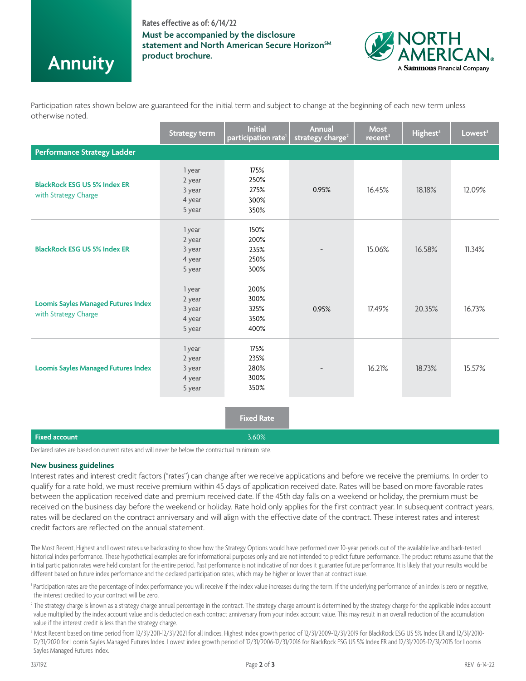### **Rates effective as of: 6/14/22**

**Must be accompanied by the disclosure** statement and North American Secure Horizon<sup>SM</sup> **product brochure.**



Participation rates shown below are guaranteed for the initial term and subject to change at the beginning of each new term unless otherwise noted.

|                                                                                                 | <b>Strategy term</b>                           | Initial<br>participation rate <sup>1</sup> | <b>Annual</b><br>strategy charge <sup>2</sup> | <b>Most</b><br>recent <sup>3</sup> | Highest <sup>3</sup> | Lowest <sup>3</sup> |  |
|-------------------------------------------------------------------------------------------------|------------------------------------------------|--------------------------------------------|-----------------------------------------------|------------------------------------|----------------------|---------------------|--|
| <b>Performance Strategy Ladder</b>                                                              |                                                |                                            |                                               |                                    |                      |                     |  |
| <b>BlackRock ESG US 5% Index ER</b><br>with Strategy Charge                                     | 1 year<br>2 year<br>3 year<br>4 year<br>5 year | 175%<br>250%<br>275%<br>300%<br>350%       | 0.95%                                         | 16.45%                             | 18.18%               | 12.09%              |  |
| <b>BlackRock ESG US 5% Index ER</b>                                                             | 1 year<br>2 year<br>3 year<br>4 year<br>5 year | 150%<br>200%<br>235%<br>250%<br>300%       |                                               | 15.06%                             | 16.58%               | 11.34%              |  |
| <b>Loomis Sayles Managed Futures Index</b><br>with Strategy Charge                              | 1 year<br>2 year<br>3 year<br>4 year<br>5 year | 200%<br>300%<br>325%<br>350%<br>400%       | 0.95%                                         | 17.49%                             | 20.35%               | 16.73%              |  |
| <b>Loomis Sayles Managed Futures Index</b>                                                      | 1 year<br>2 year<br>3 year<br>4 year<br>5 year | 175%<br>235%<br>280%<br>300%<br>350%       |                                               | 16.21%                             | 18.73%               | 15.57%              |  |
|                                                                                                 |                                                | <b>Fixed Rate</b>                          |                                               |                                    |                      |                     |  |
| <b>Fixed account</b>                                                                            |                                                | 3.60%                                      |                                               |                                    |                      |                     |  |
| Declared rates are based on current rates and will never be below the contractual minimum rate. |                                                |                                            |                                               |                                    |                      |                     |  |

#### **New business guidelines**

**Annuity**

Interest rates and interest credit factors ("rates") can change after we receive applications and before we receive the premiums. In order to qualify for a rate hold, we must receive premium within 45 days of application received date. Rates will be based on more favorable rates between the application received date and premium received date. If the 45th day falls on a weekend or holiday, the premium must be received on the business day before the weekend or holiday. Rate hold only applies for the first contract year. In subsequent contract years, rates will be declared on the contract anniversary and will align with the effective date of the contract. These interest rates and interest credit factors are reflected on the annual statement.

The Most Recent, Highest and Lowest rates use backcasting to show how the Strategy Options would have performed over 10-year periods out of the available live and back-tested historical index performance. These hypothetical examples are for informational purposes only and are not intended to predict future performance. The product returns assume that the initial participation rates were held constant for the entire period. Past performance is not indicative of nor does it guarantee future performance. It is likely that your results would be different based on future index performance and the declared participation rates, which may be higher or lower than at contract issue.

<sup>1</sup> Participation rates are the percentage of index performance you will receive if the index value increases during the term. If the underlying performance of an index is zero or negative, the interest credited to your contract will be zero.

 $^2$  The strategy charge is known as a strategy charge annual percentage in the contract. The strategy charge amount is determined by the strategy charge for the applicable index account value multiplied by the index account value and is deducted on each contract anniversary from your index account value. This may result in an overall reduction of the accumulation value if the interest credit is less than the strategy charge.

3 Most Recent based on time period from 12/31/2011-12/31/2021 for all indices. Highest index growth period of 12/31/2009-12/31/2019 for BlackRock ESG US 5% Index ER and 12/31/2010- 12/31/2020 for Loomis Sayles Managed Futures Index. Lowest index growth period of 12/31/2006-12/31/2016 for BlackRock ESG US 5% Index ER and 12/31/2005-12/31/2015 for Loomis Sayles Managed Futures Index.